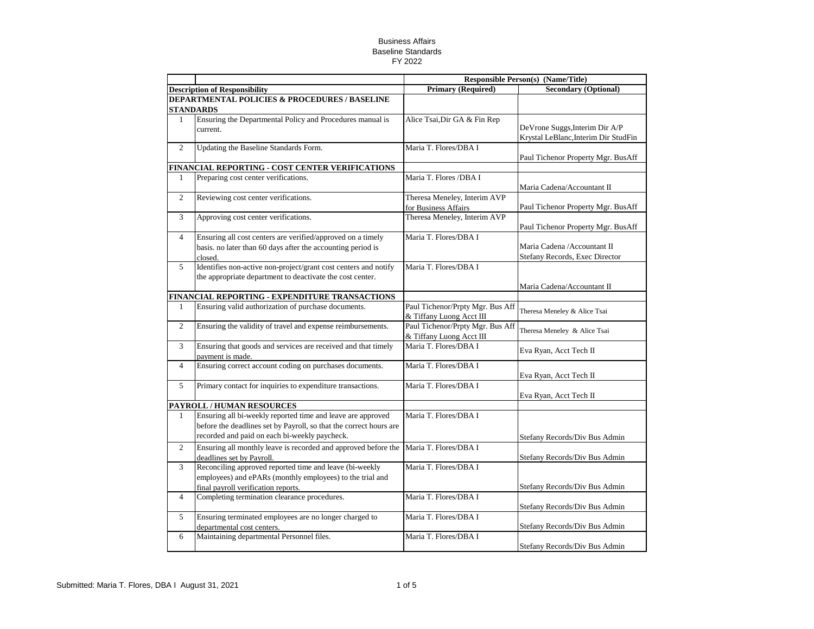|                                                                              |                                                                                                                                                                                    | <b>Responsible Person(s) (Name/Title)</b>                    |                                                                        |
|------------------------------------------------------------------------------|------------------------------------------------------------------------------------------------------------------------------------------------------------------------------------|--------------------------------------------------------------|------------------------------------------------------------------------|
|                                                                              | <b>Description of Responsibility</b>                                                                                                                                               | <b>Primary (Required)</b>                                    | <b>Secondary (Optional)</b>                                            |
| <b>DEPARTMENTAL POLICIES &amp; PROCEDURES / BASELINE</b><br><b>STANDARDS</b> |                                                                                                                                                                                    |                                                              |                                                                        |
| $\mathbf{1}$                                                                 | Ensuring the Departmental Policy and Procedures manual is<br>current.                                                                                                              | Alice Tsai, Dir GA & Fin Rep                                 | DeVrone Suggs, Interim Dir A/P<br>Krystal LeBlanc, Interim Dir StudFin |
| $\overline{2}$                                                               | Updating the Baseline Standards Form.                                                                                                                                              | Maria T. Flores/DBA I                                        | Paul Tichenor Property Mgr. BusAff                                     |
|                                                                              | FINANCIAL REPORTING - COST CENTER VERIFICATIONS                                                                                                                                    |                                                              |                                                                        |
| $\mathbf{1}$                                                                 | Preparing cost center verifications.                                                                                                                                               | Maria T. Flores /DBA I                                       | Maria Cadena/Accountant II                                             |
| $\overline{c}$                                                               | Reviewing cost center verifications.                                                                                                                                               | Theresa Meneley, Interim AVP<br>for Business Affairs         | Paul Tichenor Property Mgr. BusAff                                     |
| 3                                                                            | Approving cost center verifications.                                                                                                                                               | Theresa Meneley, Interim AVP                                 | Paul Tichenor Property Mgr. BusAff                                     |
| $\overline{4}$                                                               | Ensuring all cost centers are verified/approved on a timely<br>basis. no later than 60 days after the accounting period is<br>closed.                                              | Maria T. Flores/DBA I                                        | Maria Cadena / Accountant II<br>Stefany Records, Exec Director         |
| 5                                                                            | Identifies non-active non-project/grant cost centers and notify<br>the appropriate department to deactivate the cost center.                                                       | Maria T. Flores/DBA I                                        | Maria Cadena/Accountant II                                             |
|                                                                              | FINANCIAL REPORTING - EXPENDITURE TRANSACTIONS                                                                                                                                     |                                                              |                                                                        |
| $\mathbf{1}$                                                                 | Ensuring valid authorization of purchase documents.                                                                                                                                | Paul Tichenor/Prpty Mgr. Bus Aff<br>& Tiffany Luong Acct III | Theresa Meneley & Alice Tsai                                           |
| $\overline{c}$                                                               | Ensuring the validity of travel and expense reimbursements.                                                                                                                        | Paul Tichenor/Prpty Mgr. Bus Aff<br>& Tiffany Luong Acct III | Theresa Meneley & Alice Tsai                                           |
| 3                                                                            | Ensuring that goods and services are received and that timely<br>payment is made.                                                                                                  | Maria T. Flores/DBA I                                        | Eva Ryan, Acct Tech II                                                 |
| $\overline{4}$                                                               | Ensuring correct account coding on purchases documents.                                                                                                                            | Maria T. Flores/DBA I                                        | Eva Ryan, Acct Tech II                                                 |
| 5                                                                            | Primary contact for inquiries to expenditure transactions.                                                                                                                         | Maria T. Flores/DBA I                                        | Eva Ryan, Acct Tech II                                                 |
|                                                                              | PAYROLL / HUMAN RESOURCES                                                                                                                                                          |                                                              |                                                                        |
| $\mathbf{1}$                                                                 | Ensuring all bi-weekly reported time and leave are approved<br>before the deadlines set by Payroll, so that the correct hours are<br>recorded and paid on each bi-weekly paycheck. | Maria T. Flores/DBA I                                        | Stefany Records/Div Bus Admin                                          |
| $\overline{2}$                                                               | Ensuring all monthly leave is recorded and approved before the<br>deadlines set by Payroll.                                                                                        | Maria T. Flores/DBA I                                        | Stefany Records/Div Bus Admin                                          |
| 3                                                                            | Reconciling approved reported time and leave (bi-weekly<br>employees) and ePARs (monthly employees) to the trial and<br>final payroll verification reports.                        | Maria T. Flores/DBA I                                        | Stefany Records/Div Bus Admin                                          |
| $\overline{4}$                                                               | Completing termination clearance procedures.                                                                                                                                       | Maria T. Flores/DBA I                                        | Stefany Records/Div Bus Admin                                          |
| 5                                                                            | Ensuring terminated employees are no longer charged to<br>departmental cost centers.                                                                                               | Maria T. Flores/DBA I                                        | Stefany Records/Div Bus Admin                                          |
| 6                                                                            | Maintaining departmental Personnel files.                                                                                                                                          | Maria T. Flores/DBA I                                        | Stefany Records/Div Bus Admin                                          |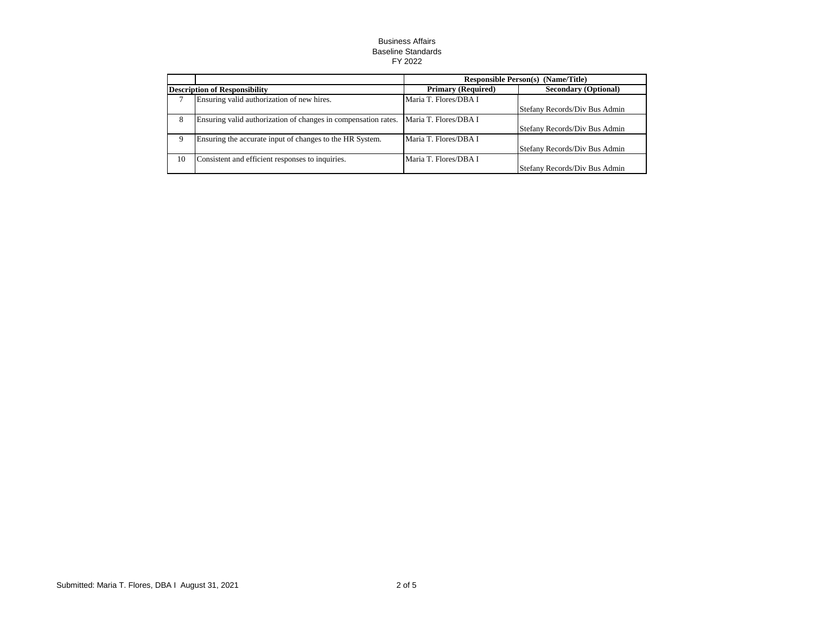|                                      |                                                                | <b>Responsible Person(s)</b> (Name/Title) |                               |
|--------------------------------------|----------------------------------------------------------------|-------------------------------------------|-------------------------------|
| <b>Description of Responsibility</b> |                                                                | <b>Primary (Required)</b>                 | <b>Secondary (Optional)</b>   |
|                                      | Ensuring valid authorization of new hires.                     | Maria T. Flores/DBA I                     |                               |
|                                      |                                                                |                                           | Stefany Records/Div Bus Admin |
| 8                                    | Ensuring valid authorization of changes in compensation rates. | Maria T. Flores/DBA I                     |                               |
|                                      |                                                                |                                           | Stefany Records/Div Bus Admin |
| 9                                    | Ensuring the accurate input of changes to the HR System.       | Maria T. Flores/DBA I                     |                               |
|                                      |                                                                |                                           | Stefany Records/Div Bus Admin |
| 10                                   | Consistent and efficient responses to inquiries.               | Maria T. Flores/DBA I                     |                               |
|                                      |                                                                |                                           | Stefany Records/Div Bus Admin |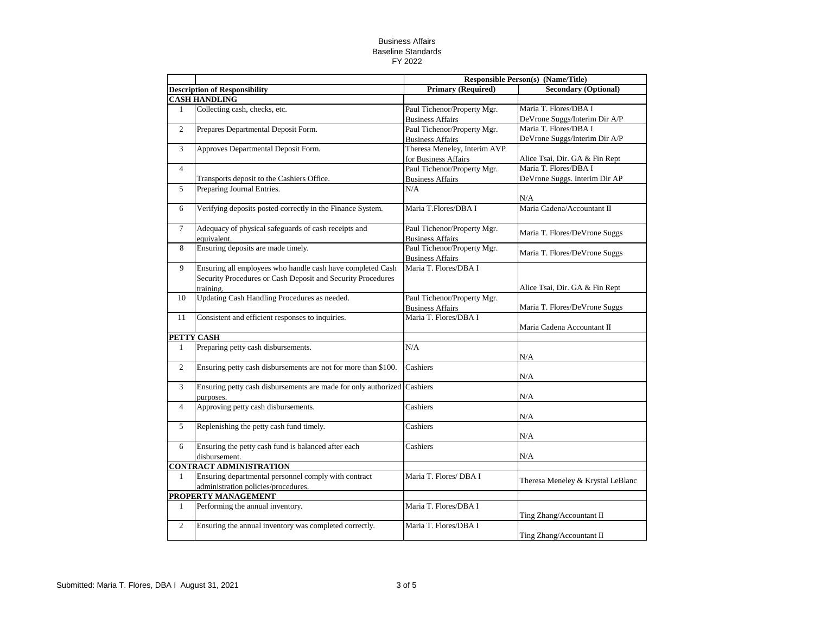|                |                                                                | <b>Responsible Person(s) (Name/Title)</b> |                                   |
|----------------|----------------------------------------------------------------|-------------------------------------------|-----------------------------------|
|                | <b>Description of Responsibility</b>                           | <b>Primary (Required)</b>                 | <b>Secondary (Optional)</b>       |
|                | <b>CASH HANDLING</b>                                           |                                           |                                   |
| 1              | Collecting cash, checks, etc.                                  | Paul Tichenor/Property Mgr.               | Maria T. Flores/DBA I             |
|                |                                                                | <b>Business Affairs</b>                   | DeVrone Suggs/Interim Dir A/P     |
| $\overline{c}$ | Prepares Departmental Deposit Form.                            | Paul Tichenor/Property Mgr.               | Maria T. Flores/DBA I             |
|                |                                                                | <b>Business Affairs</b>                   | DeVrone Suggs/Interim Dir A/P     |
| 3              | Approves Departmental Deposit Form.                            | Theresa Meneley, Interim AVP              |                                   |
|                |                                                                | for Business Affairs                      | Alice Tsai, Dir. GA & Fin Rept    |
| $\overline{4}$ |                                                                | Paul Tichenor/Property Mgr.               | Maria T. Flores/DBA I             |
|                | Transports deposit to the Cashiers Office.                     | <b>Business Affairs</b>                   | DeVrone Suggs. Interim Dir AP     |
| 5              | Preparing Journal Entries.                                     | N/A                                       |                                   |
|                |                                                                |                                           | N/A                               |
| 6              | Verifying deposits posted correctly in the Finance System.     | Maria T.Flores/DBA I                      | Maria Cadena/Accountant II        |
|                |                                                                |                                           |                                   |
| $\overline{7}$ | Adequacy of physical safeguards of cash receipts and           | Paul Tichenor/Property Mgr.               | Maria T. Flores/DeVrone Suggs     |
|                | equivalent.                                                    | <b>Business Affairs</b>                   |                                   |
| 8              | Ensuring deposits are made timely.                             | Paul Tichenor/Property Mgr.               | Maria T. Flores/DeVrone Suggs     |
|                |                                                                | <b>Business Affairs</b>                   |                                   |
| 9              | Ensuring all employees who handle cash have completed Cash     | Maria T. Flores/DBA I                     |                                   |
|                | Security Procedures or Cash Deposit and Security Procedures    |                                           |                                   |
|                | training.                                                      |                                           | Alice Tsai, Dir. GA & Fin Rept    |
| 10             | <b>Updating Cash Handling Procedures as needed.</b>            | Paul Tichenor/Property Mgr.               |                                   |
|                |                                                                | <b>Business Affairs</b>                   | Maria T. Flores/DeVrone Suggs     |
| 11             | Consistent and efficient responses to inquiries.               | Maria T. Flores/DBA I                     |                                   |
|                | PETTY CASH                                                     |                                           | Maria Cadena Accountant II        |
| 1              | Preparing petty cash disbursements.                            | N/A                                       |                                   |
|                |                                                                |                                           | N/A                               |
| $\overline{c}$ | Ensuring petty cash disbursements are not for more than \$100. | Cashiers                                  |                                   |
|                |                                                                |                                           | N/A                               |
| 3              | Ensuring petty cash disbursements are made for only authorized | Cashiers                                  |                                   |
|                | purposes.                                                      |                                           | N/A                               |
| $\overline{4}$ | Approving petty cash disbursements.                            | Cashiers                                  |                                   |
|                |                                                                |                                           | N/A                               |
| 5              | Replenishing the petty cash fund timely.                       | Cashiers                                  |                                   |
|                |                                                                |                                           | N/A                               |
| 6              | Ensuring the petty cash fund is balanced after each            | Cashiers                                  |                                   |
|                | disbursement.                                                  |                                           | N/A                               |
|                | <b>CONTRACT ADMINISTRATION</b>                                 |                                           |                                   |
| $\mathbf{1}$   | Ensuring departmental personnel comply with contract           | Maria T. Flores/ DBA I                    |                                   |
|                | administration policies/procedures.                            |                                           | Theresa Meneley & Krystal LeBlanc |
|                | PROPERTY MANAGEMENT                                            |                                           |                                   |
| $\mathbf{1}$   | Performing the annual inventory.                               | Maria T. Flores/DBA I                     |                                   |
|                |                                                                |                                           | Ting Zhang/Accountant II          |
| $\overline{c}$ | Ensuring the annual inventory was completed correctly.         | Maria T. Flores/DBA I                     |                                   |
|                |                                                                |                                           | Ting Zhang/Accountant II          |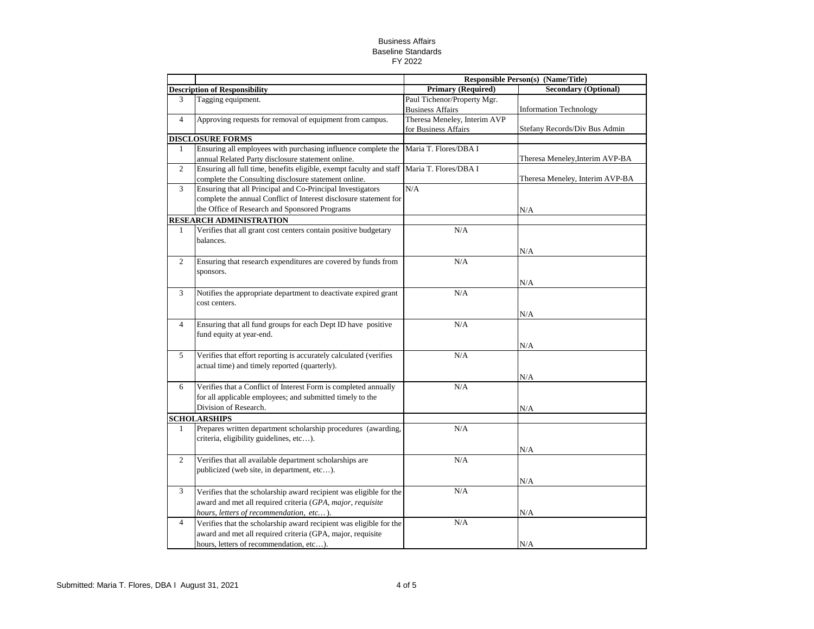|                |                                                                                      | <b>Responsible Person(s) (Name/Title)</b> |                                 |
|----------------|--------------------------------------------------------------------------------------|-------------------------------------------|---------------------------------|
|                | <b>Description of Responsibility</b>                                                 | <b>Primary (Required)</b>                 | <b>Secondary (Optional)</b>     |
| 3              | Tagging equipment.                                                                   | Paul Tichenor/Property Mgr.               |                                 |
|                |                                                                                      | <b>Business Affairs</b>                   | Information Technology          |
| $\overline{4}$ | Approving requests for removal of equipment from campus.                             | Theresa Meneley, Interim AVP              |                                 |
|                |                                                                                      | for Business Affairs                      | Stefany Records/Div Bus Admin   |
|                | <b>DISCLOSURE FORMS</b>                                                              |                                           |                                 |
| 1              | Ensuring all employees with purchasing influence complete the                        | Maria T. Flores/DBA I                     |                                 |
|                | annual Related Party disclosure statement online.                                    |                                           | Theresa Meneley, Interim AVP-BA |
| $\overline{2}$ | Ensuring all full time, benefits eligible, exempt faculty and staff                  | Maria T. Flores/DBA I                     |                                 |
|                | complete the Consulting disclosure statement online.                                 |                                           | Theresa Meneley, Interim AVP-BA |
| 3              | Ensuring that all Principal and Co-Principal Investigators                           | N/A                                       |                                 |
|                | complete the annual Conflict of Interest disclosure statement for                    |                                           |                                 |
|                | the Office of Research and Sponsored Programs                                        |                                           | N/A                             |
|                | <b>RESEARCH ADMINISTRATION</b>                                                       |                                           |                                 |
| 1              | Verifies that all grant cost centers contain positive budgetary                      | N/A                                       |                                 |
|                | balances.                                                                            |                                           |                                 |
|                |                                                                                      |                                           | N/A                             |
| $\overline{c}$ | Ensuring that research expenditures are covered by funds from                        | N/A                                       |                                 |
|                | sponsors.                                                                            |                                           |                                 |
|                |                                                                                      |                                           | N/A                             |
| 3              | Notifies the appropriate department to deactivate expired grant                      | N/A                                       |                                 |
|                | cost centers.                                                                        |                                           |                                 |
|                |                                                                                      |                                           | N/A                             |
| $\overline{4}$ | Ensuring that all fund groups for each Dept ID have positive                         | N/A                                       |                                 |
|                | fund equity at year-end.                                                             |                                           |                                 |
|                |                                                                                      |                                           | N/A                             |
| 5              | Verifies that effort reporting is accurately calculated (verifies                    | N/A                                       |                                 |
|                | actual time) and timely reported (quarterly).                                        |                                           |                                 |
|                |                                                                                      |                                           | N/A                             |
| 6              | Verifies that a Conflict of Interest Form is completed annually                      | N/A                                       |                                 |
|                | for all applicable employees; and submitted timely to the                            |                                           |                                 |
|                | Division of Research.                                                                |                                           |                                 |
|                |                                                                                      |                                           | $\rm N/A$                       |
| $\mathbf{1}$   | <b>SCHOLARSHIPS</b><br>Prepares written department scholarship procedures (awarding, | N/A                                       |                                 |
|                |                                                                                      |                                           |                                 |
|                | criteria, eligibility guidelines, etc).                                              |                                           |                                 |
|                |                                                                                      |                                           | N/A                             |
| $\overline{2}$ | Verifies that all available department scholarships are                              | N/A                                       |                                 |
|                | publicized (web site, in department, etc).                                           |                                           |                                 |
|                |                                                                                      |                                           | N/A                             |
| 3              | Verifies that the scholarship award recipient was eligible for the                   | N/A                                       |                                 |
|                | award and met all required criteria (GPA, major, requisite                           |                                           |                                 |
|                | hours, letters of recommendation, etc).                                              |                                           | N/A                             |
| $\overline{4}$ | Verifies that the scholarship award recipient was eligible for the                   | N/A                                       |                                 |
|                | award and met all required criteria (GPA, major, requisite                           |                                           |                                 |
|                | hours, letters of recommendation, etc).                                              |                                           | N/A                             |